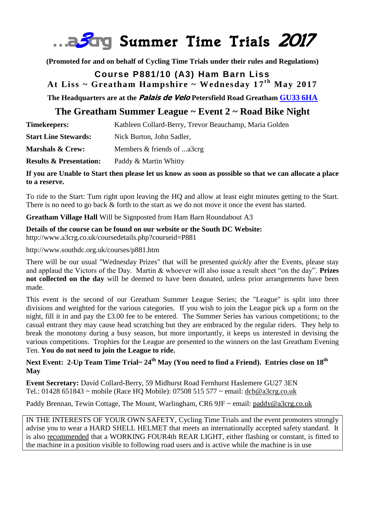

**(Promoted for and on behalf of Cycling Time Trials under their rules and Regulations)**

## **Course P881/10 (A3) Ham Barn Liss**

## **At Liss ~ Greatham Hampshire ~ Wednesday 1 7 t h May 2017**

**The Headquarters are at the Palais de Velo Petersfield Road Greatham [GU33 6HA](http://maps.google.co.uk/maps?f=q&hl=en&geocode=&q=GU33+6HA&ie=UTF8&ll=51.069017,-0.899012&spn=0.033062,0.088491&z=14)**

# **The Greatham Summer League ~ Event 2 ~ Road Bike Night**

| <b>Timekeepers:</b>                | Kathleen Collard-Berry, Trevor Beauchamp, Maria Golden |
|------------------------------------|--------------------------------------------------------|
| <b>Start Line Stewards:</b>        | Nick Burton, John Sadler,                              |
| <b>Marshals &amp; Crew:</b>        | Members & friends of a3crg                             |
| <b>Results &amp; Presentation:</b> | Paddy & Martin Whitty                                  |

#### **If you are Unable to Start then please let us know as soon as possible so that we can allocate a place to a reserve.**

To ride to the Start: Turn right upon leaving the HQ and allow at least eight minutes getting to the Start. There is no need to go back & forth to the start as we do not move it once the event has started.

**Greatham Village Hall** Will be Signposted from Ham Barn Roundabout A3

#### **Details of the course can be found on our website or the South DC Website:**

http://www.a3crg.co.uk/coursedetails.php?courseid=P881

http://www.southdc.org.uk/courses/p881.htm

There will be our usual "Wednesday Prizes" that will be presented *quickly* after the Events, please stay and applaud the Victors of the Day. Martin & whoever will also issue a result sheet "on the day". **Prizes not collected on the day** will be deemed to have been donated, unless prior arrangements have been made.

This event is the second of our Greatham Summer League Series; the "League" is split into three divisions and weighted for the various categories. If you wish to join the League pick up a form on the night, fill it in and pay the £3.00 fee to be entered. The Summer Series has various competitions; to the casual entrant they may cause head scratching but they are embraced by the regular riders. They help to break the monotony during a busy season, but more importantly, it keeps us interested in devising the various competitions. Trophies for the League are presented to the winners on the last Greatham Evening Ten. **You do not need to join the League to ride.**

### **Next Event: 2-Up Team Time Trial~ 24th May (You need to find a Friend). Entries close on 18 th May**

**Event Secretary:** David Collard-Berry, 59 Midhurst Road Fernhurst Haslemere GU27 3EN Tel.: 01428 651843 ~ mobile (Race HQ Mobile): 07508 515 577 ~ email: [dcb@a3crg.co.uk](mailto:frantic@a3crg.co.uk)

Paddy Brennan, Tewin Cottage, The Mount, Warlingham, CR6 9JF ~ email: [paddy@a3crg.co.uk](mailto:paddy@a3crg.co.uk)

IN THE INTERESTS OF YOUR OWN SAFETY, Cycling Time Trials and the event promoters strongly advise you to wear a HARD SHELL HELMET that meets an internationally accepted safety standard. It is also recommended that a WORKING FOUR4th REAR LIGHT, either flashing or constant, is fitted to the machine in a position visible to following road users and is active while the machine is in use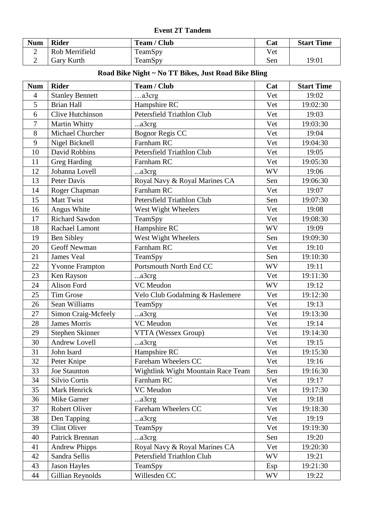#### **Event 2T Tandem**

| <b>Num</b> | <b>Rider</b>   | Team / Club | Cat | <b>Start Time</b> |
|------------|----------------|-------------|-----|-------------------|
|            | Rob Merrifield | TeamSpy     | Vet |                   |
|            | Gary Kurth     | TeamSpy     | Sen | 19:01             |

# **Road Bike Night ~ No TT Bikes, Just Road Bike Bling**

| <b>Num</b>     | <b>Rider</b>           | Team / Club                        | Cat       | <b>Start Time</b> |
|----------------|------------------------|------------------------------------|-----------|-------------------|
| $\overline{4}$ | <b>Stanley Bennett</b> | a3crg                              | Vet       | 19:02             |
| 5              | <b>Brian Hall</b>      | Hampshire RC                       | Vet       | 19:02:30          |
| 6              | Clive Hutchinson       | Petersfield Triathlon Club         | Vet       | 19:03             |
| $\overline{7}$ | Martin Whitty          | a3crg                              | Vet       | 19:03:30          |
| 8              | Michael Churcher       | <b>Bognor Regis CC</b>             | Vet       | 19:04             |
| 9              | Nigel Bicknell         | Farnham RC                         | Vet       | 19:04:30          |
| 10             | David Robbins          | Petersfield Triathlon Club         | Vet       | 19:05             |
| 11             | <b>Greg Harding</b>    | Farnham RC                         | Vet       | 19:05:30          |
| 12             | Johanna Lovell         | a3crg                              | WV        | 19:06             |
| 13             | Peter Davis            | Royal Navy & Royal Marines CA      | Sen       | 19:06:30          |
| 14             | Roger Chapman          | Farnham RC                         | Vet       | 19:07             |
| 15             | <b>Matt Twist</b>      | Petersfield Triathlon Club         | Sen       | 19:07:30          |
| 16             | Angus White            | West Wight Wheelers                | Vet       | 19:08             |
| 17             | <b>Richard Sawdon</b>  | TeamSpy                            | Vet       | 19:08:30          |
| 18             | Rachael Lamont         | Hampshire RC                       | WV        | 19:09             |
| 19             | <b>Ben Sibley</b>      | West Wight Wheelers                | Sen       | 19:09:30          |
| 20             | <b>Geoff Newman</b>    | Farnham RC                         | Vet       | 19:10             |
| 21             | <b>James Veal</b>      | TeamSpy                            | Sen       | 19:10:30          |
| 22             | <b>Yvonne Frampton</b> | Portsmouth North End CC            | <b>WV</b> | 19:11             |
| 23             | Ken Rayson             | a3crg                              | Vet       | 19:11:30          |
| 24             | Alison Ford            | <b>VC</b> Meudon                   | <b>WV</b> | 19:12             |
| 25             | <b>Tim Grose</b>       | Velo Club Godalming & Haslemere    | Vet       | 19:12:30          |
| 26             | Sean Williams          | TeamSpy                            | Vet       | 19:13             |
| 27             | Simon Craig-Mcfeely    | a3crg                              | Vet       | 19:13:30          |
| 28             | <b>James Morris</b>    | VC Meudon                          | Vet       | 19:14             |
| 29             | Stephen Skinner        | VTTA (Wessex Group)                | Vet       | 19:14:30          |
| 30             | <b>Andrew Lovell</b>   | a3crg                              | Vet       | 19:15             |
| 31             | John Isard             | Hampshire RC                       | Vet       | 19:15:30          |
| 32             | Peter Knipe            | Fareham Wheelers CC                | Vet       | 19:16             |
| 33             | <b>Joe Staunton</b>    | Wightlink Wight Mountain Race Team | Sen       | 19:16:30          |
| 34             | Silvio Cortis          | Farnham RC                         | Vet       | 19:17             |
| 35             | Mark Henrick           | <b>VC</b> Meudon                   | Vet       | 19:17:30          |
| 36             | Mike Garner            | a3crg                              | Vet       | 19:18             |
| 37             | Robert Oliver          | Fareham Wheelers CC                | Vet       | 19:18:30          |
| 38             | Den Tapping            | a3crg                              | Vet       | 19:19             |
| 39             | <b>Clint Oliver</b>    | TeamSpy                            | Vet       | 19:19:30          |
| 40             | Patrick Brennan        | a3crg                              | Sen       | 19:20             |
| 41             | <b>Andrew Phipps</b>   | Royal Navy & Royal Marines CA      | Vet       | 19:20:30          |
| 42             | Sandra Sellis          | Petersfield Triathlon Club         | <b>WV</b> | 19:21             |
| 43             | <b>Jason Hayles</b>    | TeamSpy                            | Esp       | 19:21:30          |
| 44             | Gillian Reynolds       | Willesden CC                       | <b>WV</b> | 19:22             |